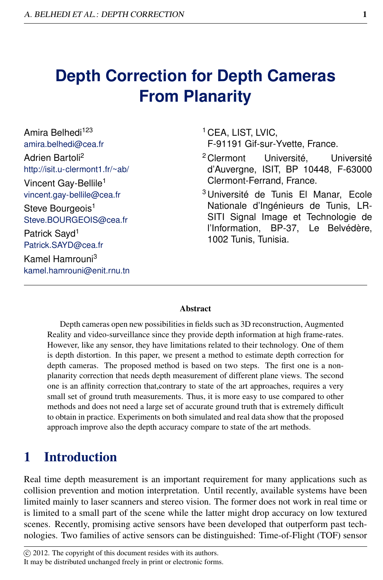# **Depth Correction for Depth Cameras From Planarity**

Amira Belhedi<sup>123</sup> amira.belhedi@cea.fr Adrien Bartoli<sup>2</sup> http://isit.u-clermont1.fr/~ab/ Vincent Gay-Bellile<sup>1</sup> vincent.gay-bellile@cea.fr Steve Bourgeois<sup>1</sup> Steve.BOURGEOIS@cea.fr Patrick Sayd<sup>1</sup> Patrick.SAYD@cea.fr

Kamel Hamrouni<sup>3</sup> kamel.hamrouni@enit.rnu.tn <sup>1</sup> CEA, LIST, LVIC, F-91191 Gif-sur-Yvette, France.

- <sup>2</sup> Clermont Université, Université d'Auvergne, ISIT, BP 10448, F-63000 Clermont-Ferrand, France.
- <sup>3</sup> Université de Tunis El Manar, Ecole Nationale d'Ingénieurs de Tunis, LR-SITI Signal Image et Technologie de l'Information, BP-37, Le Belvédère, 1002 Tunis, Tunisia.

#### Abstract

Depth cameras open new possibilities in fields such as 3D reconstruction, Augmented Reality and video-surveillance since they provide depth information at high frame-rates. However, like any sensor, they have limitations related to their technology. One of them is depth distortion. In this paper, we present a method to estimate depth correction for depth cameras. The proposed method is based on two steps. The first one is a nonplanarity correction that needs depth measurement of different plane views. The second one is an affinity correction that,contrary to state of the art approaches, requires a very small set of ground truth measurements. Thus, it is more easy to use compared to other methods and does not need a large set of accurate ground truth that is extremely difficult to obtain in practice. Experiments on both simulated and real data show that the proposed approach improve also the depth accuracy compare to state of the art methods.

## 1 Introduction

Real time depth measurement is an important requirement for many applications such as collision prevention and motion interpretation. Until recently, available systems have been limited mainly to laser scanners and stereo vision. The former does not work in real time or is limited to a small part of the scene while the latter might drop accuracy on low textured scenes. Recently, promising active sensors have been developed that outperform past technologies. Two families of active sensors can be distinguished: Time-of-Flight (TOF) sensor

c 2012. The copyright of this document resides with its authors.

It may be distributed unchanged freely in print or electronic forms.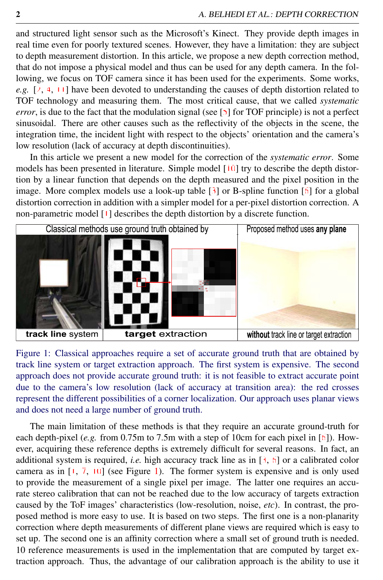and structured light sensor such as the Microsoft's Kinect. They provide depth images in real time even for poorly textured scenes. However, they have a limitation: they are subject to depth measurement distortion. In this article, we propose a new depth correction method, that do not impose a physical model and thus can be used for any depth camera. In the following, we focus on TOF camera since it has been used for the experiments. Some works, *e.g.*  $[2, 4, 11]$  have been devoted to understanding the causes of depth distortion related to TOF technology and measuring them. The most critical cause, that we called *systematic error*, is due to the fact that the modulation signal (see [5] for TOF principle) is not a perfect sinusoidal. There are other causes such as the reflectivity of the objects in the scene, the integration time, the incident light with respect to the objects' orientation and the camera's low resolution (lack of accuracy at depth discontinuities).

In this article we present a new model for the correction of the *systematic error*. Some models has been presented in literature. Simple model [10] try to describe the depth distortion by a linear function that depends on the depth measured and the pixel position in the image. More complex models use a look-up table  $\lceil 3 \rceil$  or B-spline function  $\lceil 6 \rceil$  for a global distortion correction in addition with a simpler model for a per-pixel distortion correction. A non-parametric model [1] describes the depth distortion by a discrete function.



<span id="page-1-0"></span>Figure 1: Classical approaches require a set of accurate ground truth that are obtained by track line system or target extraction approach. The first system is expensive. The second approach does not provide accurate ground truth: it is not feasible to extract accurate point due to the camera's low resolution (lack of accuracy at transition area): the red crosses represent the different possibilities of a corner localization. Our approach uses planar views and does not need a large number of ground truth.

The main limitation of these methods is that they require an accurate ground-truth for each depth-pixel (*e.g.* from 0.75m to 7.5m with a step of 10cm for each pixel in [6]). However, acquiring these reference depths is extremely difficult for several reasons. In fact, an additional system is required, *i.e.* high accuracy track line as in [3, 6] or a calibrated color camera as in  $[1, 7, 10]$  (see Figure [1\)](#page-1-0). The former system is expensive and is only used to provide the measurement of a single pixel per image. The latter one requires an accurate stereo calibration that can not be reached due to the low accuracy of targets extraction caused by the ToF images' characteristics (low-resolution, noise, *etc*). In contrast, the proposed method is more easy to use. It is based on two steps. The first one is a non-planarity correction where depth measurements of different plane views are required which is easy to set up. The second one is an affinity correction where a small set of ground truth is needed. 10 reference measurements is used in the implementation that are computed by target extraction approach. Thus, the advantage of our calibration approach is the ability to use it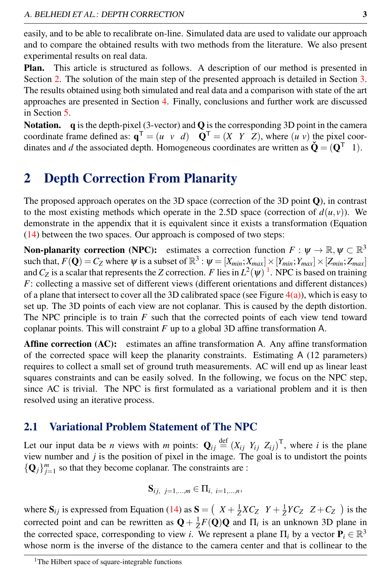easily, and to be able to recalibrate on-line. Simulated data are used to validate our approach and to compare the obtained results with two methods from the literature. We also present experimental results on real data.

Plan. This article is structured as follows. A description of our method is presented in Section [2.](#page-2-0) The solution of the main step of the presented approach is detailed in Section [3.](#page-3-0) The results obtained using both simulated and real data and a comparison with state of the art approaches are presented in Section [4.](#page-5-0) Finally, conclusions and further work are discussed in Section [5.](#page-7-0)

Notation. q is the depth-pixel (3-vector) and  $Q$  is the corresponding 3D point in the camera coordinate frame defined as:  $\mathbf{q}^T = (u \ v \ d) \mathbf{Q}^T = (X \ Y \ Z)$ , where  $(u \ v)$  the pixel coordinates and *d* the associated depth. Homogeneous coordinates are written as  $\check{\mathbf{Q}} = (\mathbf{Q}^T \quad 1)$ .

## <span id="page-2-0"></span>2 Depth Correction From Planarity

The proposed approach operates on the 3D space (correction of the 3D point Q), in contrast to the most existing methods which operate in the 2.5D space (correction of  $d(u, v)$ ). We demonstrate in the appendix that it is equivalent since it exists a transformation (Equation [\(14\)](#page-9-0) between the two spaces. Our approach is composed of two steps:

**Non-planarity correction (NPC):** estimates a correction function  $F: \psi \to \mathbb{R}, \psi \subset \mathbb{R}^3$ such that,  $F(\mathbf{Q}) = C_Z$  where  $\psi$  is a subset of  $\mathbb{R}^3 : \psi = [X_{min}; X_{max}] \times [Y_{min}; Y_{max}] \times [Z_{min}; Z_{max}]$ and  $C_Z$  is a scalar that represents the *Z* correction. *F* lies in  $L^2(\psi)$ <sup>[1](#page-2-1)</sup>. NPC is based on training *F*: collecting a massive set of different views (different orientations and different distances) of a plane that intersect to cover all the 3D calibrated space (see Figure  $4(a)$ ), which is easy to set up. The 3D points of each view are not coplanar. This is caused by the depth distortion. The NPC principle is to train  $F$  such that the corrected points of each view tend toward coplanar points. This will constraint *F* up to a global 3D affine transformation A.

Affine correction (AC): estimates an affine transformation A. Any affine transformation of the corrected space will keep the planarity constraints. Estimating A (12 parameters) requires to collect a small set of ground truth measurements. AC will end up as linear least squares constraints and can be easily solved. In the following, we focus on the NPC step, since AC is trivial. The NPC is first formulated as a variational problem and it is then resolved using an iterative process.

## 2.1 Variational Problem Statement of The NPC

Let our input data be *n* views with *m* points:  $Q_{ij} \stackrel{\text{def}}{=} (X_{ij} \ Y_{ij} \ Z_{ij})^\top$ , where *i* is the plane view number and *j* is the position of pixel in the image. The goal is to undistort the points  ${Q_j}_{j=1}^m$  so that they become coplanar. The constraints are :

$$
\mathbf{S}_{ij, j=1,...,m} \in \Pi_{i, i=1,...,n},
$$

where  $S_{ij}$  is expressed from Equation [\(14\)](#page-9-0) as  $S = (X + \frac{1}{Z}XC_Z \ Y + \frac{1}{Z}YC_Z \ Z + C_Z)$  is the corrected point and can be rewritten as  $Q + \frac{1}{Z}F(Q)Q$  and  $\Pi_i$  is an unknown 3D plane in the corrected space, corresponding to view *i*. We represent a plane  $\Pi_i$  by a vector  $P_i \in \mathbb{R}^3$ whose norm is the inverse of the distance to the camera center and that is collinear to the

<span id="page-2-1"></span><sup>&</sup>lt;sup>1</sup>The Hilbert space of square-integrable functions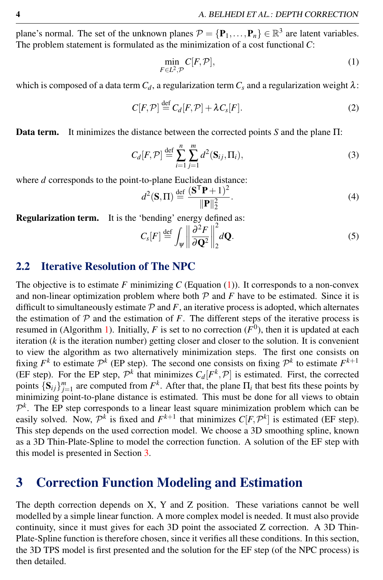plane's normal. The set of the unknown planes  $P = \{P_1, \ldots, P_n\} \in \mathbb{R}^3$  are latent variables. The problem statement is formulated as the minimization of a cost functional *C*:

<span id="page-3-2"></span><span id="page-3-1"></span>
$$
\min_{F \in L^2, \mathcal{P}} C[F, \mathcal{P}],\tag{1}
$$

which is composed of a data term  $C_d$ , a regularization term  $C_s$  and a regularization weight  $\lambda$ :

$$
C[F, \mathcal{P}] \stackrel{\text{def}}{=} C_d[F, \mathcal{P}] + \lambda C_s[F]. \tag{2}
$$

Data term. It minimizes the distance between the corrected points *S* and the plane Π:

$$
C_d[F, \mathcal{P}] \stackrel{\text{def}}{=} \sum_{i=1}^{n} \sum_{j=1}^{m} d^2(\mathbf{S}_{ij}, \Pi_i), \tag{3}
$$

where *d* corresponds to the point-to-plane Euclidean distance:

<span id="page-3-3"></span>
$$
d^{2}(\mathbf{S}, \Pi) \stackrel{\text{def}}{=} \frac{(\mathbf{S}^{\mathsf{T}} \mathbf{P} + 1)^{2}}{\|\mathbf{P}\|_{2}^{2}}.
$$
 (4)

Regularization term. It is the 'bending' energy defined as:

$$
C_{\rm s}[F] \stackrel{\text{def}}{=} \int_{\psi} \left\| \frac{\partial^2 F}{\partial \mathbf{Q}^2} \right\|_2^2 d\mathbf{Q}.
$$
 (5)

## 2.2 Iterative Resolution of The NPC

The objective is to estimate  $F$  minimizing  $C$  (Equation [\(1\)](#page-3-1)). It corresponds to a non-convex and non-linear optimization problem where both  $P$  and  $F$  have to be estimated. Since it is difficult to simultaneously estimate  $P$  and  $F$ , an iterative process is adopted, which alternates the estimation of  $P$  and the estimation of  $F$ . The different steps of the iterative process is resumed in (Algorithm [1\)](#page-4-0). Initially,  $F$  is set to no correction  $(F^0)$ , then it is updated at each iteration  $(k$  is the iteration number) getting closer and closer to the solution. It is convenient to view the algorithm as two alternatively minimization steps. The first one consists on fixing  $F^k$  to estimate  $\mathcal{P}^k$  (EP step). The second one consists on fixing  $\mathcal{P}^k$  to estimate  $F^{k+1}$ (EF step). For the EP step,  $\mathcal{P}^k$  that minimizes  $C_d[F^k, \mathcal{P}]$  is estimated. First, the corrected points  $\{S_{ij}\}_{j=1}^m$  are computed from  $F^k$ . After that, the plane  $\Pi_i$  that best fits these points by minimizing point-to-plane distance is estimated. This must be done for all views to obtain  $\mathcal{P}^k$ . The EP step corresponds to a linear least square minimization problem which can be easily solved. Now,  $\mathcal{P}^k$  is fixed and  $F^{k+1}$  that minimizes  $C[F, \mathcal{P}^k]$  is estimated (EF step). This step depends on the used correction model. We choose a 3D smoothing spline, known as a 3D Thin-Plate-Spline to model the correction function. A solution of the EF step with this model is presented in Section [3.](#page-3-0)

## <span id="page-3-0"></span>3 Correction Function Modeling and Estimation

The depth correction depends on X, Y and Z position. These variations cannot be well modelled by a simple linear function. A more complex model is needed. It must also provide continuity, since it must gives for each 3D point the associated Z correction. A 3D Thin-Plate-Spline function is therefore chosen, since it verifies all these conditions. In this section, the 3D TPS model is first presented and the solution for the EF step (of the NPC process) is then detailed.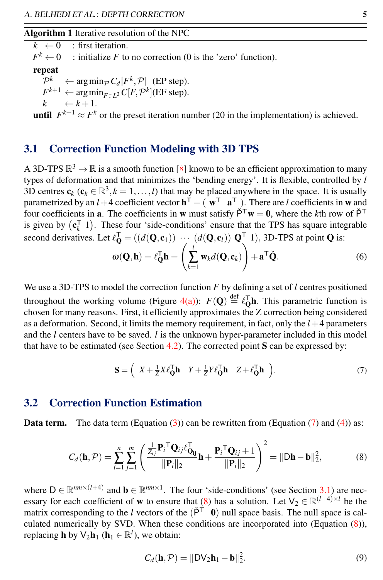#### Algorithm 1 Iterative resolution of the NPC

 $k \leftarrow 0$  : first iteration.  $F^k \leftarrow 0$  $k$  initialize  $F$  to no correction (0 is the 'zero' function). repeat  $\mathcal{P}^k$  $k \leftarrow \arg \min_{\mathcal{P}} C_d[F^k, \mathcal{P}]$  (EP step).  $F^{k+1} \leftarrow \arg\min_{F \in L^2} C[F, \mathcal{P}^k]$ (EF step).  $k \leftarrow k+1.$ **until**  $F^{k+1} \approx F^k$  or the preset iteration number (20 in the implementation) is achieved.

## <span id="page-4-2"></span><span id="page-4-0"></span>3.1 Correction Function Modeling with 3D TPS

A 3D-TPS  $\mathbb{R}^3 \to \mathbb{R}$  is a smooth function [8] known to be an efficient approximation to many types of deformation and that minimizes the 'bending energy'. It is flexible, controlled by *l* 3D centres  $c_k$  ( $c_k \in \mathbb{R}^3, k = 1, \ldots, l$ ) that may be placed anywhere in the space. It is usually parametrized by an  $l+4$  coefficient vector  $\mathbf{h}^{\mathsf{T}} = (\mathbf{w}^{\mathsf{T}} \quad \mathbf{a}^{\mathsf{T}})$ . There are *l* coefficients in **w** and four coefficients in **a**. The coefficients in **w** must satisfy  $\check{P}^T w = 0$ , where the *k*th row of  $\check{P}^T$ is given by  $(c_k^T 1)$ . These four 'side-conditions' ensure that the TPS has square integrable second derivatives. Let  $\ell_{\mathbf{Q}}^{\mathsf{T}} = ((d(\mathbf{Q}, \mathbf{c}_1)) \cdots (d(\mathbf{Q}, \mathbf{c}_l)) \mathbf{Q}^{\mathsf{T}}$  1), 3D-TPS at point **Q** is:

$$
\boldsymbol{\omega}(\mathbf{Q}, \mathbf{h}) = \ell_{\mathbf{Q}}^{\mathsf{T}} \mathbf{h} = \left( \sum_{k=1}^{l} \mathbf{w}_k d(\mathbf{Q}, \mathbf{c}_k) \right) + \mathbf{a}^{\mathsf{T}} \check{\mathbf{Q}}.
$$
 (6)

We use a 3D-TPS to model the correction function *F* by defining a set of *l* centres positioned throughout the working volume (Figure [4\(a\)\)](#page-8-0):  $F(\mathbf{Q}) \stackrel{\text{def}}{=} \ell_{\mathbf{Q}}^{\mathsf{T}} \mathbf{h}$ . This parametric function is chosen for many reasons. First, it efficiently approximates the Z correction being considered as a deformation. Second, it limits the memory requirement, in fact, only the  $l+4$  parameters and the *l* centers have to be saved. *l* is the unknown hyper-parameter included in this model that have to be estimated (see Section [4.2\)](#page-6-0). The corrected point  $S$  can be expressed by:

<span id="page-4-3"></span><span id="page-4-1"></span>
$$
\mathbf{S} = \left( X + \frac{1}{2} X \ell \mathbf{Q} \mathbf{h} \quad Y + \frac{1}{2} Y \ell \mathbf{Q} \mathbf{h} \quad Z + \ell \mathbf{Q} \mathbf{h} \right). \tag{7}
$$

### 3.2 Correction Function Estimation

**Data term.** The data term (Equation [\(3\)](#page-3-2)) can be rewritten from (Equation [\(7\)](#page-4-1) and [\(4\)](#page-3-3)) as:

$$
C_d(\mathbf{h}, \mathcal{P}) = \sum_{i=1}^n \sum_{j=1}^m \left( \frac{\frac{1}{Z_{ij}} \mathbf{P}_i^{\mathsf{T}} \mathbf{Q}_{ij} \ell_{\mathbf{Q}_{ij}}^{\mathsf{T}}}{\|\mathbf{P}_i\|_2} \mathbf{h} + \frac{\mathbf{P}_i^{\mathsf{T}} \mathbf{Q}_{ij} + 1}{\|\mathbf{P}_i\|_2} \right)^2 = \|\mathbf{D}\mathbf{h} - \mathbf{b}\|_2^2, \tag{8}
$$

where  $D \in \mathbb{R}^{nm \times (l+4)}$  and  $\mathbf{b} \in \mathbb{R}^{nm \times 1}$ . The four 'side-conditions' (see Section [3.1\)](#page-4-2) are necessary for each coefficient of **w** to ensure that [\(8\)](#page-4-3) has a solution. Let  $V_2 \in \mathbb{R}^{(l+4)\times l}$  be the matrix corresponding to the *l* vectors of the  $(\check{P}^T \mathbf{0})$  null space basis. The null space is calculated numerically by SVD. When these conditions are incorporated into (Equation [\(8\)](#page-4-3)), replacing **h** by  $\mathsf{V}_2\mathbf{h}_1$  ( $\mathbf{h}_1 \in \mathbb{R}^l$ ), we obtain:

<span id="page-4-4"></span>
$$
C_d(\mathbf{h}, \mathcal{P}) = ||\mathsf{D} \mathsf{V}_2 \mathbf{h}_1 - \mathbf{b}||_2^2.
$$
 (9)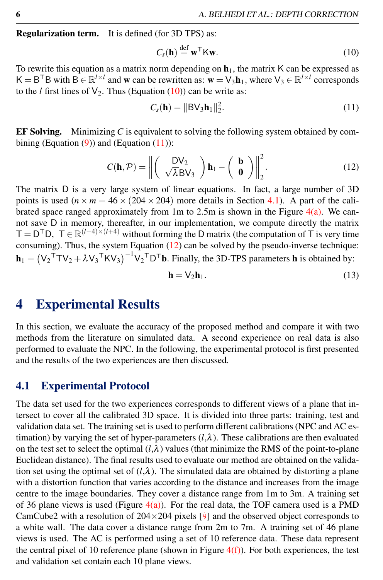Regularization term. It is defined (for 3D TPS) as:

<span id="page-5-1"></span>
$$
C_s(\mathbf{h}) \stackrel{\text{def}}{=} \mathbf{w}^\mathsf{T} \mathsf{K} \mathbf{w}.\tag{10}
$$

To rewrite this equation as a matrix norm depending on  $h_1$ , the matrix K can be expressed as  $K = B^T B$  with  $B \in \mathbb{R}^{l \times l}$  and w can be rewritten as:  $w = V_3 h_1$ , where  $V_3 \in \mathbb{R}^{l \times l}$  corresponds to the *l* first lines of  $V_2$ . Thus (Equation [\(10\)](#page-5-1)) can be write as:

<span id="page-5-4"></span><span id="page-5-2"></span>
$$
C_s(\mathbf{h}) = \|\mathbf{B} \mathbf{V}_3 \mathbf{h}_1\|_2^2. \tag{11}
$$

**EF Solving.** Minimizing C is equivalent to solving the following system obtained by combining (Equation  $(9)$ ) and (Equation  $(11)$ ):

$$
C(\mathbf{h}, \mathcal{P}) = \left\| \begin{pmatrix} \mathbf{D}V_2 \\ \sqrt{\lambda} \mathbf{B}V_3 \end{pmatrix} \mathbf{h}_1 - \begin{pmatrix} \mathbf{b} \\ \mathbf{0} \end{pmatrix} \right\|_2^2.
$$
 (12)

The matrix D is a very large system of linear equations. In fact, a large number of 3D points is used  $(n \times m = 46 \times (204 \times 204)$  more details in Section [4.1\)](#page-5-3). A part of the calibrated space ranged approximately from 1m to 2.5m is shown in the Figure  $4(a)$ . We cannot save D in memory, thereafter, in our implementation, we compute directly the matrix  $T = D^{T}D$ ,  $T \in \mathbb{R}^{(l+4)\times(l+4)}$  without forming the D matrix (the computation of T is very time consuming). Thus, the system Equation  $(12)$  can be solved by the pseudo-inverse technique:  $\mathbf{h}_1 = (\mathsf{V}_2^{\mathsf{T}} \mathsf{T} \mathsf{V}_2 + \lambda \mathsf{V}_3^{\mathsf{T}} \mathsf{K} \mathsf{V}_3)^{-1} \mathsf{V}_2^{\mathsf{T}} \mathsf{D}^{\mathsf{T}} \mathbf{b}$ . Finally, the 3D-TPS parameters **h** is obtained by:

$$
\mathbf{h} = \mathsf{V}_2 \mathbf{h}_1. \tag{13}
$$

## <span id="page-5-0"></span>4 Experimental Results

In this section, we evaluate the accuracy of the proposed method and compare it with two methods from the literature on simulated data. A second experience on real data is also performed to evaluate the NPC. In the following, the experimental protocol is first presented and the results of the two experiences are then discussed.

#### <span id="page-5-3"></span>4.1 Experimental Protocol

The data set used for the two experiences corresponds to different views of a plane that intersect to cover all the calibrated 3D space. It is divided into three parts: training, test and validation data set. The training set is used to perform different calibrations (NPC and AC estimation) by varying the set of hyper-parameters  $(l,\lambda)$ . These calibrations are then evaluated on the test set to select the optimal  $(l,\lambda)$  values (that minimize the RMS of the point-to-plane Euclidean distance). The final results used to evaluate our method are obtained on the validation set using the optimal set of  $(l, \lambda)$ . The simulated data are obtained by distorting a plane with a distortion function that varies according to the distance and increases from the image centre to the image boundaries. They cover a distance range from 1m to 3m. A training set of 36 plane views is used (Figure  $4(a)$ ). For the real data, the TOF camera used is a PMD CamCube2 with a resolution of  $204 \times 204$  pixels [9] and the observed object corresponds to a white wall. The data cover a distance range from 2m to 7m. A training set of 46 plane views is used. The AC is performed using a set of 10 reference data. These data represent the central pixel of 10 reference plane (shown in Figure  $4(f)$ ). For both experiences, the test and validation set contain each 10 plane views.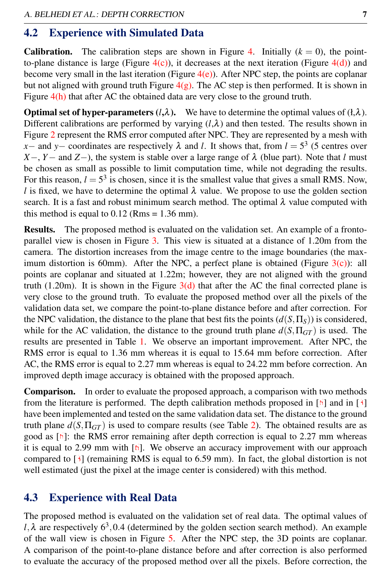## 4.2 Experience with Simulated Data

**Calibration.** The calibration steps are shown in Figure [4.](#page-8-2) Initially  $(k = 0)$ , the pointto-plane distance is large (Figure  $4(c)$ ), it decreases at the next iteration (Figure  $4(d)$ ) and become very small in the last iteration (Figure  $4(e)$ ). After NPC step, the points are coplanar but not aligned with ground truth Figure  $4(g)$ . The AC step is then performed. It is shown in Figure  $4(h)$  that after AC the obtained data are very close to the ground truth.

<span id="page-6-0"></span>**Optimal set of hyper-parameters**  $(l,\lambda)$ **.** We have to determine the optimal values of  $(l,\lambda)$ . Different calibrations are performed by varying  $(l,\lambda)$  and then tested. The results shown in Figure [2](#page-7-1) represent the RMS error computed after NPC. They are represented by a mesh with *x*− and *y*− coordinates are respectively  $\lambda$  and *l*. It shows that, from  $l = 5^3$  (5 centres over *X*−, *Y*− and *Z*−), the system is stable over a large range of  $\lambda$  (blue part). Note that *l* must be chosen as small as possible to limit computation time, while not degrading the results. For this reason,  $l = 5<sup>3</sup>$  is chosen, since it is the smallest value that gives a small RMS. Now, *l* is fixed, we have to determine the optimal  $\lambda$  value. We propose to use the golden section search. It is a fast and robust minimum search method. The optimal  $\lambda$  value computed with this method is equal to  $0.12$  (Rms =  $1.36$  mm).

Results. The proposed method is evaluated on the validation set. An example of a frontoparallel view is chosen in Figure [3.](#page-7-2) This view is situated at a distance of 1.20m from the camera. The distortion increases from the image centre to the image boundaries (the maximum distortion is 60mm). After the NPC, a perfect plane is obtained (Figure  $3(c)$ ): all points are coplanar and situated at 1.22m; however, they are not aligned with the ground truth (1.20m). It is shown in the Figure  $3(d)$  that after the AC the final corrected plane is very close to the ground truth. To evaluate the proposed method over all the pixels of the validation data set, we compare the point-to-plane distance before and after correction. For the NPC validation, the distance to the plane that best fits the points  $(d(S, \Pi_S))$  is considered, while for the AC validation, the distance to the ground truth plane  $d(S,\Pi_{GT})$  is used. The results are presented in Table [1.](#page-7-5) We observe an important improvement. After NPC, the RMS error is equal to 1.36 mm whereas it is equal to 15.64 mm before correction. After AC, the RMS error is equal to 2.27 mm whereas is equal to 24.22 mm before correction. An improved depth image accuracy is obtained with the proposed approach.

Comparison. In order to evaluate the proposed approach, a comparison with two methods from the literature is performed. The depth calibration methods proposed in  $[6]$  and in  $[3]$ have been implemented and tested on the same validation data set. The distance to the ground truth plane  $d(S,\Pi_{GT})$  is used to compare results (see Table [2\)](#page-7-6). The obtained results are as good as [6]: the RMS error remaining after depth correction is equal to 2.27 mm whereas it is equal to 2.99 mm with  $[6]$ . We observe an accuracy improvement with our approach compared to  $\lceil 3 \rceil$  (remaining RMS is equal to 6.59 mm). In fact, the global distortion is not well estimated (just the pixel at the image center is considered) with this method.

## 4.3 Experience with Real Data

The proposed method is evaluated on the validation set of real data. The optimal values of  $l, \lambda$  are respectively 6<sup>3</sup>,0.4 (determined by the golden section search method). An example of the wall view is chosen in Figure [5.](#page-8-8) After the NPC step, the 3D points are coplanar. A comparison of the point-to-plane distance before and after correction is also performed to evaluate the accuracy of the proposed method over all the pixels. Before correction, the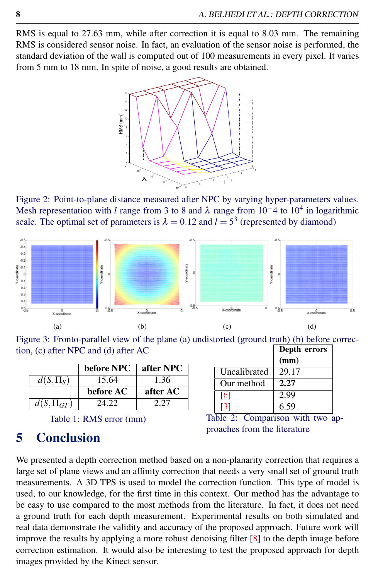RMS is equal to 27.63 mm, while after correction it is equal to 8.03 mm. The remaining RMS is considered sensor noise. In fact, an evaluation of the sensor noise is performed, the standard deviation of the wall is computed out of 100 measurements in every pixel. It varies from 5 mm to 18 mm. In spite of noise, a good results are obtained.



<span id="page-7-1"></span>Figure 2: Point-to-plane distance measured after NPC by varying hyper-parameters values. Mesh representation with *l* range from 3 to 8 and  $\lambda$  range from 10<sup>-</sup>4 to 10<sup>4</sup> in logarithmic scale. The optimal set of parameters is  $\lambda = 0.12$  and  $l = 5^3$  (represented by diamond)



Figure 3: Fronto-parallel view of the plane (a) undistorted (ground truth) (b) before correction, (c) after NPC and (d) after AC Depth errors

|                 | before NPC | after NPC |
|-----------------|------------|-----------|
| $d(S,\Pi_S)$    | 15.64      | 1.36      |
|                 | before AC  | after AC  |
| $d(S,\Pi_{GT})$ | 24.22      | 2.27      |

<span id="page-7-5"></span>Table 1: RMS error (mm)

Table 2: Comparison with two approaches from the literature

<span id="page-7-3"></span>Uncalibrated  $\vert$  29.17 Our method  $\vert$  2.27  $\begin{array}{|c|c|c|c|c|} \hline 6 & 2.99 & \hline \end{array}$ [3] 6.59

<span id="page-7-6"></span><span id="page-7-4"></span><span id="page-7-2"></span>(mm)

## <span id="page-7-0"></span>5 Conclusion

 $\overline{\phantom{a}}$ 

We presented a depth correction method based on a non-planarity correction that requires a large set of plane views and an affinity correction that needs a very small set of ground truth measurements. A 3D TPS is used to model the correction function. This type of model is used, to our knowledge, for the first time in this context. Our method has the advantage to be easy to use compared to the most methods from the literature. In fact, it does not need a ground truth for each depth measurement. Experimental results on both simulated and real data demonstrate the validity and accuracy of the proposed approach. Future work will improve the results by applying a more robust denoising filter  $[8]$  to the depth image before correction estimation. It would also be interesting to test the proposed approach for depth images provided by the Kinect sensor.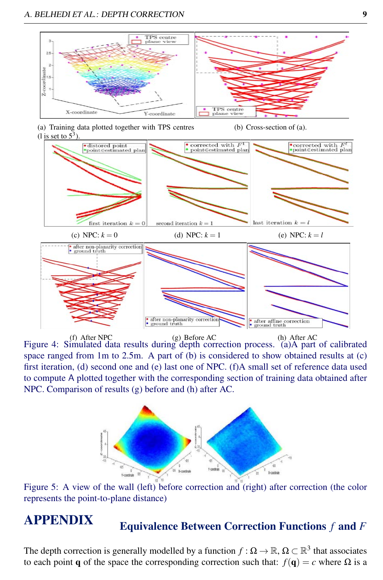

<span id="page-8-0"></span>

<span id="page-8-5"></span><span id="page-8-4"></span><span id="page-8-2"></span>(b) Cross-section of (a).

<span id="page-8-3"></span>

<span id="page-8-1"></span>(f) After NPC (g) Before AC (h) After AC Figure 4: Simulated data results during depth correction process. (a)A part of calibrated space ranged from 1m to 2.5m. A part of (b) is considered to show obtained results at (c) first iteration, (d) second one and (e) last one of NPC. (f)A small set of reference data used to compute A plotted together with the corresponding section of training data obtained after NPC. Comparison of results (g) before and (h) after AC.

<span id="page-8-8"></span><span id="page-8-7"></span><span id="page-8-6"></span>

Figure 5: A view of the wall (left) before correction and (right) after correction (the color represents the point-to-plane distance)

# APPENDIX Equivalence Between Correction Functions *<sup>f</sup>* and *<sup>F</sup>*

The depth correction is generally modelled by a function  $f : \Omega \to \mathbb{R}, \Omega \subset \mathbb{R}^3$  that associates to each point q of the space the corresponding correction such that:  $f(\mathbf{q}) = c$  where  $\Omega$  is a